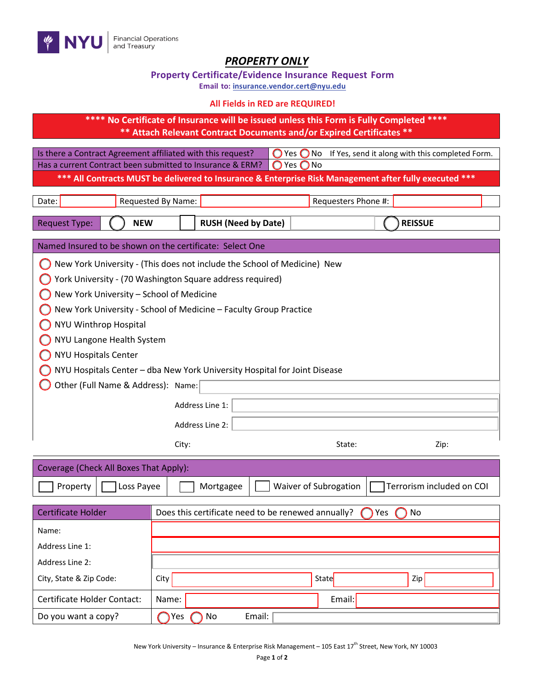

## *PROPERTY ONLY*

| <b>Property Certificate/Evidence Insurance Request Form</b> |  |  |  |  |
|-------------------------------------------------------------|--|--|--|--|
|-------------------------------------------------------------|--|--|--|--|

**Email to: [insurance.vendor.cert@nyu.edu](mailto:insurance.vendor.cert@nyu.edu)**

## **All Fields in RED are REQUIRED!**

**\*\*\*\* No Certificate of Insurance will be issued unless this Form is Fully Completed \*\*\*\* \*\* Attach Relevant Contract Documents and/or Expired Certificates \*\***

Is there a Contract Agreement affiliated with this request?  $\bigcirc$  Yes  $\bigcirc$  No If Yes, send it along with this completed Form. Has a current Contract been submitted to Insurance & ERM?  $\bigcirc$  Yes  $\bigcirc$  No

**\*\*\* All Contracts MUST be delivered to Insurance & Enterprise Risk Management after fully executed \*\*\***

| Date:                                                                     | Requested By Name:                                                       | Requesters Phone #:                                |                           |  |
|---------------------------------------------------------------------------|--------------------------------------------------------------------------|----------------------------------------------------|---------------------------|--|
| <b>Request Type:</b><br><b>NEW</b>                                        | <b>RUSH (Need by Date)</b>                                               |                                                    | <b>REISSUE</b>            |  |
| Named Insured to be shown on the certificate: Select One                  |                                                                          |                                                    |                           |  |
|                                                                           | New York University - (This does not include the School of Medicine) New |                                                    |                           |  |
|                                                                           | York University - (70 Washington Square address required)                |                                                    |                           |  |
| New York University - School of Medicine                                  |                                                                          |                                                    |                           |  |
|                                                                           | New York University - School of Medicine - Faculty Group Practice        |                                                    |                           |  |
| NYU Winthrop Hospital                                                     |                                                                          |                                                    |                           |  |
| NYU Langone Health System                                                 |                                                                          |                                                    |                           |  |
| <b>NYU Hospitals Center</b>                                               |                                                                          |                                                    |                           |  |
| NYU Hospitals Center - dba New York University Hospital for Joint Disease |                                                                          |                                                    |                           |  |
| Other (Full Name & Address): Name:                                        |                                                                          |                                                    |                           |  |
|                                                                           | Address Line 1:                                                          |                                                    |                           |  |
|                                                                           | Address Line 2:                                                          |                                                    |                           |  |
|                                                                           | City:                                                                    | State:                                             | Zip:                      |  |
| Coverage (Check All Boxes That Apply):                                    |                                                                          |                                                    |                           |  |
| Property<br>Loss Payee                                                    | Mortgagee                                                                | Waiver of Subrogation                              | Terrorism included on COI |  |
| <b>Certificate Holder</b>                                                 |                                                                          | Does this certificate need to be renewed annually? | Yes<br>No                 |  |
| Name:                                                                     |                                                                          |                                                    |                           |  |
| Address Line 1:                                                           |                                                                          |                                                    |                           |  |
| <b>Address Line 2:</b>                                                    |                                                                          |                                                    |                           |  |
| City, State & Zip Code:                                                   | City                                                                     | State                                              | Zip                       |  |
| <b>Certificate Holder Contact:</b>                                        | Name:                                                                    | Email:                                             |                           |  |
| Do you want a copy?                                                       | Yes<br>No                                                                | Email:                                             |                           |  |